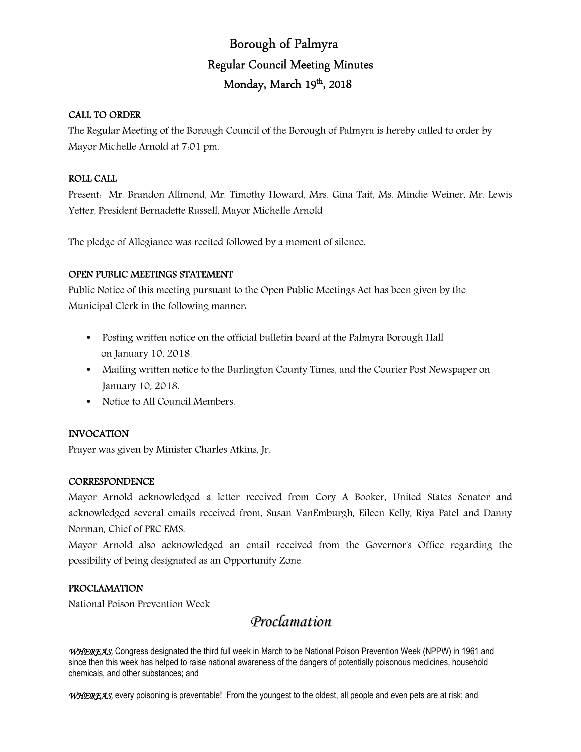# Borough of Palmyra Regular Council Meeting Minutes Monday, March 19th, 2018

# CALL TO ORDER

The Regular Meeting of the Borough Council of the Borough of Palmyra is hereby called to order by Mayor Michelle Arnold at 7:01 pm.

# ROLL CALL

Present: Mr. Brandon Allmond, Mr. Timothy Howard, Mrs. Gina Tait, Ms. Mindie Weiner, Mr. Lewis Yetter, President Bernadette Russell, Mayor Michelle Arnold

The pledge of Allegiance was recited followed by a moment of silence.

# OPEN PUBLIC MEETINGS STATEMENT

Public Notice of this meeting pursuant to the Open Public Meetings Act has been given by the Municipal Clerk in the following manner:

- Posting written notice on the official bulletin board at the Palmyra Borough Hall on January 10, 2018.
- Mailing written notice to the Burlington County Times, and the Courier Post Newspaper on January 10, 2018.
- Notice to All Council Members.

# INVOCATION

Prayer was given by Minister Charles Atkins, Jr.

# **CORRESPONDENCE**

Mayor Arnold acknowledged a letter received from Cory A Booker, United States Senator and acknowledged several emails received from, Susan VanEmburgh, Eileen Kelly, Riya Patel and Danny Norman, Chief of PRC EMS.

Mayor Arnold also acknowledged an email received from the Governor's Office regarding the possibility of being designated as an Opportunity Zone.

# PROCLAMATION

National Poison Prevention Week

# *Proclamation*

*WHEREAS,* Congress designated the third full week in March to be National Poison Prevention Week (NPPW) in 1961 and since then this week has helped to raise national awareness of the dangers of potentially poisonous medicines, household chemicals, and other substances; and

WHEREAS, every poisoning is preventable! From the youngest to the oldest, all people and even pets are at risk; and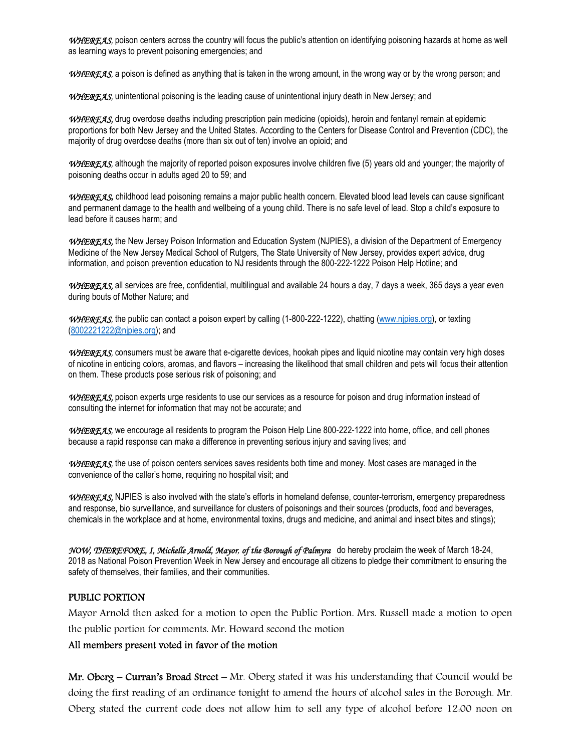*WHEREAS,* poison centers across the country will focus the public's attention on identifying poisoning hazards at home as well as learning ways to prevent poisoning emergencies; and

*WHEREAS,* a poison is defined as anything that is taken in the wrong amount, in the wrong way or by the wrong person; and

WHEREAS, unintentional poisoning is the leading cause of unintentional injury death in New Jersey; and

*WHEREAS,* drug overdose deaths including prescription pain medicine (opioids), heroin and fentanyl remain at epidemic proportions for both New Jersey and the United States. According to the Centers for Disease Control and Prevention (CDC), the majority of drug overdose deaths (more than six out of ten) involve an opioid; and

WHEREAS, although the majority of reported poison exposures involve children five (5) years old and younger; the majority of poisoning deaths occur in adults aged 20 to 59; and

*WHEREAS***,** childhood lead poisoning remains a major public health concern. Elevated blood lead levels can cause significant and permanent damage to the health and wellbeing of a young child. There is no safe level of lead. Stop a child's exposure to lead before it causes harm; and

*WHEREAS,* the New Jersey Poison Information and Education System (NJPIES), a division of the Department of Emergency Medicine of the New Jersey Medical School of Rutgers, The State University of New Jersey, provides expert advice, drug information, and poison prevention education to NJ residents through the 800-222-1222 Poison Help Hotline; and

*WHEREAS,* all services are free, confidential, multilingual and available 24 hours a day, 7 days a week, 365 days a year even during bouts of Mother Nature; and

WHEREAS, the public can contact a poison expert by calling (1-800-222-1222), chatting (www.njpies.org), or texting (8002221222@njpies.org); and

*WHEREAS,* consumers must be aware that e-cigarette devices, hookah pipes and liquid nicotine may contain very high doses of nicotine in enticing colors, aromas, and flavors – increasing the likelihood that small children and pets will focus their attention on them. These products pose serious risk of poisoning; and

*WHEREAS,* poison experts urge residents to use our services as a resource for poison and drug information instead of consulting the internet for information that may not be accurate; and

*WHEREAS,* we encourage all residents to program the Poison Help Line 800-222-1222 into home, office, and cell phones because a rapid response can make a difference in preventing serious injury and saving lives; and

*WHEREAS,* the use of poison centers services saves residents both time and money. Most cases are managed in the convenience of the caller's home, requiring no hospital visit; and

*WHEREAS,* NJPIES is also involved with the state's efforts in homeland defense, counter-terrorism, emergency preparedness and response, bio surveillance, and surveillance for clusters of poisonings and their sources (products, food and beverages, chemicals in the workplace and at home, environmental toxins, drugs and medicine, and animal and insect bites and stings);

*NOW, THEREFORE, I, Michelle Arnold, Mayor, of the Borough of Palmyra* do hereby proclaim the week of March 18-24, 2018 as National Poison Prevention Week in New Jersey and encourage all citizens to pledge their commitment to ensuring the safety of themselves, their families, and their communities.

# PUBLIC PORTION

Mayor Arnold then asked for a motion to open the Public Portion. Mrs. Russell made a motion to open the public portion for comments. Mr. Howard second the motion

## All members present voted in favor of the motion

Mr. Oberg – Curran's Broad Street – Mr. Oberg stated it was his understanding that Council would be doing the first reading of an ordinance tonight to amend the hours of alcohol sales in the Borough. Mr. Oberg stated the current code does not allow him to sell any type of alcohol before 12:00 noon on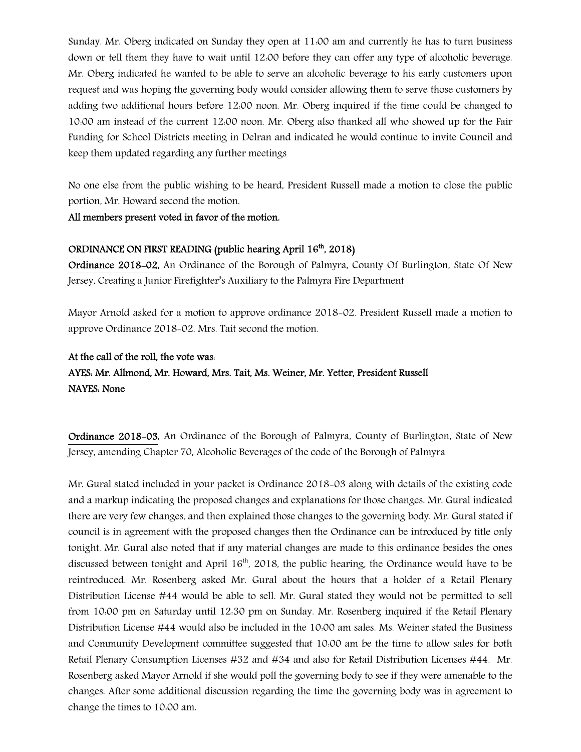Sunday. Mr. Oberg indicated on Sunday they open at 11:00 am and currently he has to turn business down or tell them they have to wait until 12:00 before they can offer any type of alcoholic beverage. Mr. Oberg indicated he wanted to be able to serve an alcoholic beverage to his early customers upon request and was hoping the governing body would consider allowing them to serve those customers by adding two additional hours before 12:00 noon. Mr. Oberg inquired if the time could be changed to 10:00 am instead of the current 12:00 noon. Mr. Oberg also thanked all who showed up for the Fair Funding for School Districts meeting in Delran and indicated he would continue to invite Council and keep them updated regarding any further meetings

No one else from the public wishing to be heard, President Russell made a motion to close the public portion, Mr. Howard second the motion.

## All members present voted in favor of the motion.

# ORDINANCE ON FIRST READING (public hearing April 16<sup>th</sup>, 2018)

Ordinance 2018-02, An Ordinance of the Borough of Palmyra, County Of Burlington, State Of New Jersey, Creating a Junior Firefighter's Auxiliary to the Palmyra Fire Department

Mayor Arnold asked for a motion to approve ordinance 2018-02. President Russell made a motion to approve Ordinance 2018-02. Mrs. Tait second the motion.

# At the call of the roll, the vote was: AYES: Mr. Allmond, Mr. Howard, Mrs. Tait, Ms. Weiner, Mr. Yetter, President Russell NAYES: None

Ordinance 2018-03, An Ordinance of the Borough of Palmyra, County of Burlington, State of New Jersey, amending Chapter 70, Alcoholic Beverages of the code of the Borough of Palmyra

Mr. Gural stated included in your packet is Ordinance 2018-03 along with details of the existing code and a markup indicating the proposed changes and explanations for those changes. Mr. Gural indicated there are very few changes, and then explained those changes to the governing body. Mr. Gural stated if council is in agreement with the proposed changes then the Ordinance can be introduced by title only tonight. Mr. Gural also noted that if any material changes are made to this ordinance besides the ones discussed between tonight and April  $16<sup>th</sup>$ , 2018, the public hearing, the Ordinance would have to be reintroduced. Mr. Rosenberg asked Mr. Gural about the hours that a holder of a Retail Plenary Distribution License #44 would be able to sell. Mr. Gural stated they would not be permitted to sell from 10:00 pm on Saturday until 12:30 pm on Sunday. Mr. Rosenberg inquired if the Retail Plenary Distribution License #44 would also be included in the 10:00 am sales. Ms. Weiner stated the Business and Community Development committee suggested that 10:00 am be the time to allow sales for both Retail Plenary Consumption Licenses #32 and #34 and also for Retail Distribution Licenses #44. Mr. Rosenberg asked Mayor Arnold if she would poll the governing body to see if they were amenable to the changes. After some additional discussion regarding the time the governing body was in agreement to change the times to 10:00 am.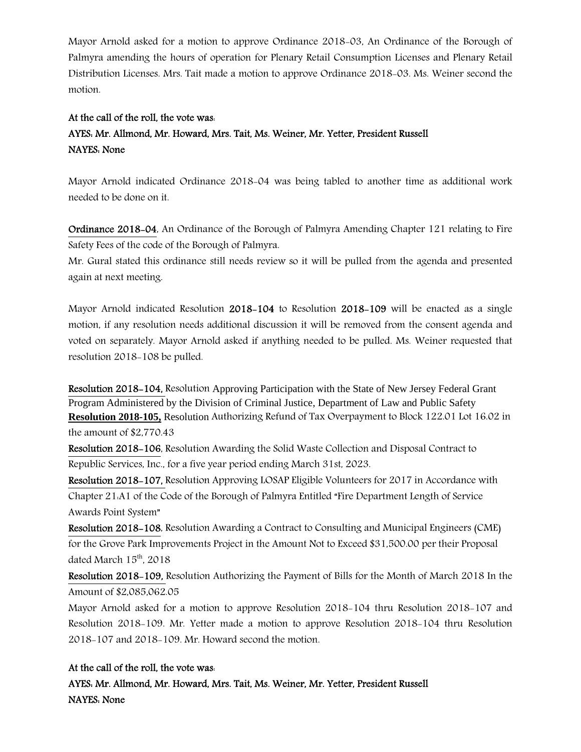Mayor Arnold asked for a motion to approve Ordinance 2018-03, An Ordinance of the Borough of Palmyra amending the hours of operation for Plenary Retail Consumption Licenses and Plenary Retail Distribution Licenses. Mrs. Tait made a motion to approve Ordinance 2018-03. Ms. Weiner second the motion.

# At the call of the roll, the vote was: AYES: Mr. Allmond, Mr. Howard, Mrs. Tait, Ms. Weiner, Mr. Yetter, President Russell NAYES: None

Mayor Arnold indicated Ordinance 2018-04 was being tabled to another time as additional work needed to be done on it.

Ordinance 2018-04, An Ordinance of the Borough of Palmyra Amending Chapter 121 relating to Fire Safety Fees of the code of the Borough of Palmyra.

Mr. Gural stated this ordinance still needs review so it will be pulled from the agenda and presented again at next meeting.

Mayor Arnold indicated Resolution 2018-104 to Resolution 2018-109 will be enacted as a single motion, if any resolution needs additional discussion it will be removed from the consent agenda and voted on separately. Mayor Arnold asked if anything needed to be pulled. Ms. Weiner requested that resolution 2018-108 be pulled.

Resolution 2018-104, Resolution Approving Participation with the State of New Jersey Federal Grant Program Administered by the Division of Criminal Justice, Department of Law and Public Safety **Resolution 2018-105,** Resolution Authorizing Refund of Tax Overpayment to Block 122.01 Lot 16.02 in the amount of \$2,770.43

Resolution 2018-106, Resolution Awarding the Solid Waste Collection and Disposal Contract to Republic Services, Inc., for a five year period ending March 31st, 2023.

Resolution 2018-107, Resolution Approving LOSAP Eligible Volunteers for 2017 in Accordance with Chapter 21:A1 of the Code of the Borough of Palmyra Entitled "Fire Department Length of Service Awards Point System"

Resolution 2018-108, Resolution Awarding a Contract to Consulting and Municipal Engineers (CME) for the Grove Park Improvements Project in the Amount Not to Exceed \$31,500.00 per their Proposal dated March  $15<sup>th</sup>$ , 2018

Resolution 2018-109, Resolution Authorizing the Payment of Bills for the Month of March 2018 In the Amount of \$2,085,062.05

Mayor Arnold asked for a motion to approve Resolution 2018-104 thru Resolution 2018-107 and Resolution 2018-109. Mr. Yetter made a motion to approve Resolution 2018-104 thru Resolution 2018-107 and 2018-109. Mr. Howard second the motion.

# At the call of the roll, the vote was:

AYES: Mr. Allmond, Mr. Howard, Mrs. Tait, Ms. Weiner, Mr. Yetter, President Russell NAYES: None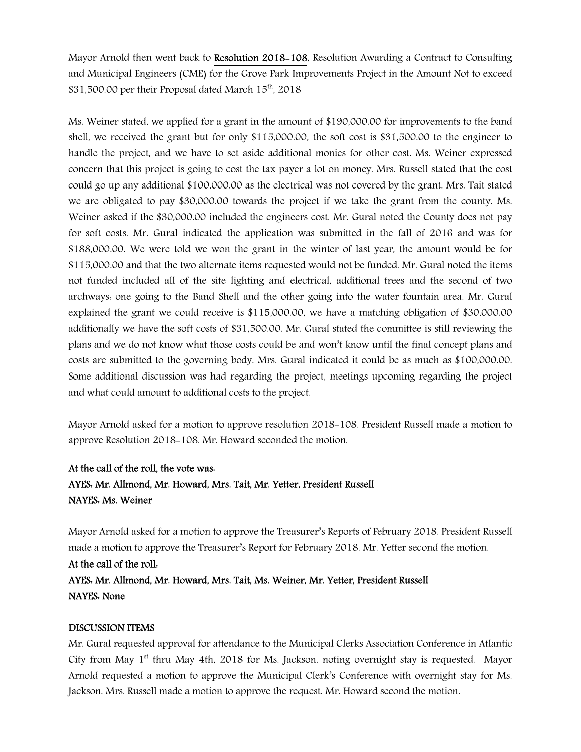Mayor Arnold then went back to Resolution 2018-108, Resolution Awarding a Contract to Consulting and Municipal Engineers (CME) for the Grove Park Improvements Project in the Amount Not to exceed  $$31,500.00$  per their Proposal dated March  $15<sup>th</sup>$ , 2018

Ms. Weiner stated, we applied for a grant in the amount of \$190,000.00 for improvements to the band shell, we received the grant but for only \$115,000.00, the soft cost is \$31,500.00 to the engineer to handle the project, and we have to set aside additional monies for other cost. Ms. Weiner expressed concern that this project is going to cost the tax payer a lot on money. Mrs. Russell stated that the cost could go up any additional \$100,000.00 as the electrical was not covered by the grant. Mrs. Tait stated we are obligated to pay \$30,000.00 towards the project if we take the grant from the county. Ms. Weiner asked if the \$30,000.00 included the engineers cost. Mr. Gural noted the County does not pay for soft costs. Mr. Gural indicated the application was submitted in the fall of 2016 and was for \$188,000.00. We were told we won the grant in the winter of last year, the amount would be for \$115,000.00 and that the two alternate items requested would not be funded. Mr. Gural noted the items not funded included all of the site lighting and electrical, additional trees and the second of two archways: one going to the Band Shell and the other going into the water fountain area. Mr. Gural explained the grant we could receive is \$115,000.00, we have a matching obligation of \$30,000.00 additionally we have the soft costs of \$31,500.00. Mr. Gural stated the committee is still reviewing the plans and we do not know what those costs could be and won't know until the final concept plans and costs are submitted to the governing body. Mrs. Gural indicated it could be as much as \$100,000.00. Some additional discussion was had regarding the project, meetings upcoming regarding the project and what could amount to additional costs to the project.

Mayor Arnold asked for a motion to approve resolution 2018-108. President Russell made a motion to approve Resolution 2018-108. Mr. Howard seconded the motion.

# At the call of the roll, the vote was: AYES: Mr. Allmond, Mr. Howard, Mrs. Tait, Mr. Yetter, President Russell NAYES: Ms. Weiner

Mayor Arnold asked for a motion to approve the Treasurer's Reports of February 2018. President Russell made a motion to approve the Treasurer's Report for February 2018. Mr. Yetter second the motion.

At the call of the roll: AYES: Mr. Allmond, Mr. Howard, Mrs. Tait, Ms. Weiner, Mr. Yetter, President Russell NAYES: None

# DISCUSSION ITEMS

Mr. Gural requested approval for attendance to the Municipal Clerks Association Conference in Atlantic City from May  $1<sup>st</sup>$  thru May 4th, 2018 for Ms. Jackson, noting overnight stay is requested. Mayor Arnold requested a motion to approve the Municipal Clerk's Conference with overnight stay for Ms. Jackson. Mrs. Russell made a motion to approve the request. Mr. Howard second the motion.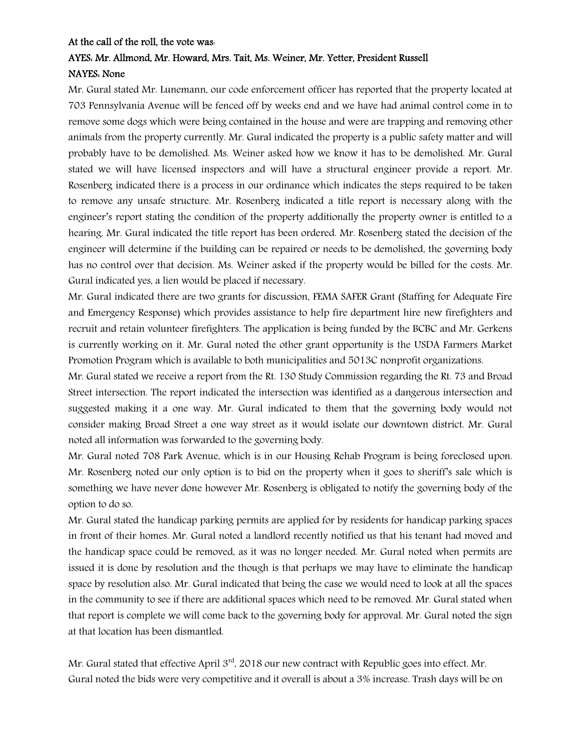# At the call of the roll, the vote was:

# AYES: Mr. Allmond, Mr. Howard, Mrs. Tait, Ms. Weiner, Mr. Yetter, President Russell NAYES: None

Mr. Gural stated Mr. Lunemann, our code enforcement officer has reported that the property located at 703 Pennsylvania Avenue will be fenced off by weeks end and we have had animal control come in to remove some dogs which were being contained in the house and were are trapping and removing other animals from the property currently. Mr. Gural indicated the property is a public safety matter and will probably have to be demolished. Ms. Weiner asked how we know it has to be demolished. Mr. Gural stated we will have licensed inspectors and will have a structural engineer provide a report. Mr. Rosenberg indicated there is a process in our ordinance which indicates the steps required to be taken to remove any unsafe structure. Mr. Rosenberg indicated a title report is necessary along with the engineer's report stating the condition of the property additionally the property owner is entitled to a hearing. Mr. Gural indicated the title report has been ordered. Mr. Rosenberg stated the decision of the engineer will determine if the building can be repaired or needs to be demolished, the governing body has no control over that decision. Ms. Weiner asked if the property would be billed for the costs. Mr. Gural indicated yes, a lien would be placed if necessary.

Mr. Gural indicated there are two grants for discussion, FEMA SAFER Grant (Staffing for Adequate Fire and Emergency Response) which provides assistance to help fire department hire new firefighters and recruit and retain volunteer firefighters. The application is being funded by the BCBC and Mr. Gerkens is currently working on it. Mr. Gural noted the other grant opportunity is the USDA Farmers Market Promotion Program which is available to both municipalities and 5013C nonprofit organizations.

Mr. Gural stated we receive a report from the Rt. 130 Study Commission regarding the Rt. 73 and Broad Street intersection. The report indicated the intersection was identified as a dangerous intersection and suggested making it a one way. Mr. Gural indicated to them that the governing body would not consider making Broad Street a one way street as it would isolate our downtown district. Mr. Gural noted all information was forwarded to the governing body.

Mr. Gural noted 708 Park Avenue, which is in our Housing Rehab Program is being foreclosed upon. Mr. Rosenberg noted our only option is to bid on the property when it goes to sheriff's sale which is something we have never done however Mr. Rosenberg is obligated to notify the governing body of the option to do so.

Mr. Gural stated the handicap parking permits are applied for by residents for handicap parking spaces in front of their homes. Mr. Gural noted a landlord recently notified us that his tenant had moved and the handicap space could be removed, as it was no longer needed. Mr. Gural noted when permits are issued it is done by resolution and the though is that perhaps we may have to eliminate the handicap space by resolution also. Mr. Gural indicated that being the case we would need to look at all the spaces in the community to see if there are additional spaces which need to be removed. Mr. Gural stated when that report is complete we will come back to the governing body for approval. Mr. Gural noted the sign at that location has been dismantled.

Mr. Gural stated that effective April 3<sup>rd</sup>, 2018 our new contract with Republic goes into effect. Mr. Gural noted the bids were very competitive and it overall is about a 3% increase. Trash days will be on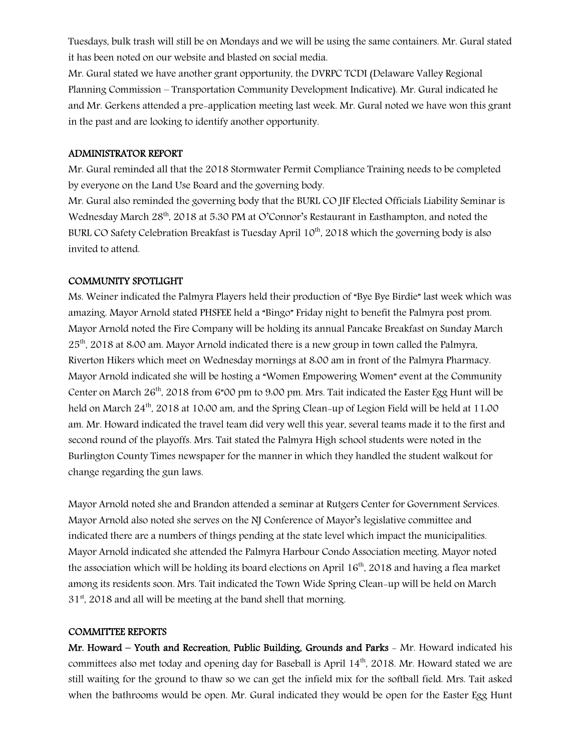Tuesdays, bulk trash will still be on Mondays and we will be using the same containers. Mr. Gural stated it has been noted on our website and blasted on social media.

Mr. Gural stated we have another grant opportunity, the DVRPC TCDI (Delaware Valley Regional Planning Commission – Transportation Community Development Indicative). Mr. Gural indicated he and Mr. Gerkens attended a pre-application meeting last week. Mr. Gural noted we have won this grant in the past and are looking to identify another opportunity.

## ADMINISTRATOR REPORT

Mr. Gural reminded all that the 2018 Stormwater Permit Compliance Training needs to be completed by everyone on the Land Use Board and the governing body.

Mr. Gural also reminded the governing body that the BURL CO JIF Elected Officials Liability Seminar is Wednesday March 28<sup>th</sup>, 2018 at 5:30 PM at O'Connor's Restaurant in Easthampton, and noted the BURL CO Safety Celebration Breakfast is Tuesday April 10<sup>th</sup>, 2018 which the governing body is also invited to attend.

### COMMUNITY SPOTLIGHT

Ms. Weiner indicated the Palmyra Players held their production of "Bye Bye Birdie" last week which was amazing. Mayor Arnold stated PHSFEE held a "Bingo" Friday night to benefit the Palmyra post prom. Mayor Arnold noted the Fire Company will be holding its annual Pancake Breakfast on Sunday March 25<sup>th</sup>, 2018 at 8:00 am. Mayor Arnold indicated there is a new group in town called the Palmyra, Riverton Hikers which meet on Wednesday mornings at 8:00 am in front of the Palmyra Pharmacy. Mayor Arnold indicated she will be hosting a "Women Empowering Women" event at the Community Center on March 26<sup>th</sup>, 2018 from 6"00 pm to 9:00 pm. Mrs. Tait indicated the Easter Egg Hunt will be held on March 24<sup>th</sup>, 2018 at 10:00 am, and the Spring Clean-up of Legion Field will be held at 11:00 am. Mr. Howard indicated the travel team did very well this year, several teams made it to the first and second round of the playoffs. Mrs. Tait stated the Palmyra High school students were noted in the Burlington County Times newspaper for the manner in which they handled the student walkout for change regarding the gun laws.

Mayor Arnold noted she and Brandon attended a seminar at Rutgers Center for Government Services. Mayor Arnold also noted she serves on the NJ Conference of Mayor's legislative committee and indicated there are a numbers of things pending at the state level which impact the municipalities. Mayor Arnold indicated she attended the Palmyra Harbour Condo Association meeting. Mayor noted the association which will be holding its board elections on April  $16<sup>th</sup>$ , 2018 and having a flea market among its residents soon. Mrs. Tait indicated the Town Wide Spring Clean-up will be held on March  $31<sup>st</sup>$ , 2018 and all will be meeting at the band shell that morning.

## COMMITTEE REPORTS

Mr. Howard – Youth and Recreation, Public Building, Grounds and Parks - Mr. Howard indicated his committees also met today and opening day for Baseball is April 14<sup>th</sup>, 2018. Mr. Howard stated we are still waiting for the ground to thaw so we can get the infield mix for the softball field. Mrs. Tait asked when the bathrooms would be open. Mr. Gural indicated they would be open for the Easter Egg Hunt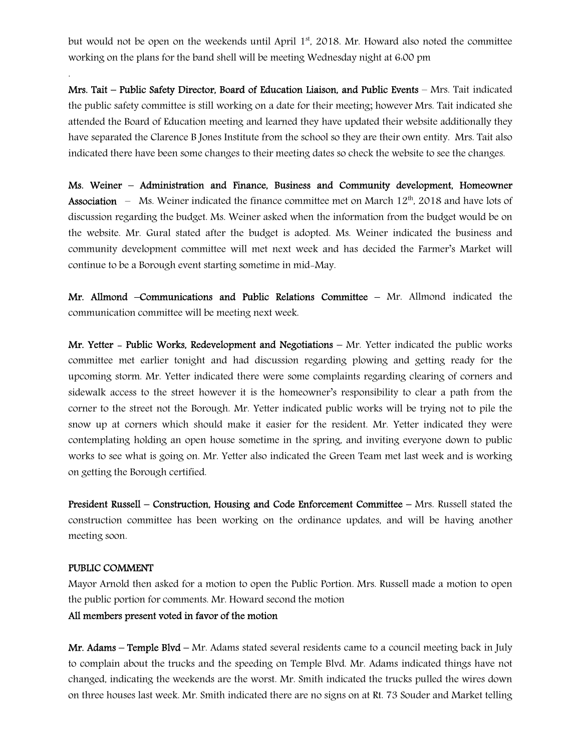but would not be open on the weekends until April 1<sup>st</sup>, 2018. Mr. Howard also noted the committee working on the plans for the band shell will be meeting Wednesday night at 6:00 pm

Mrs. Tait – Public Safety Director, Board of Education Liaison, and Public Events – Mrs. Tait indicated the public safety committee is still working on a date for their meeting; however Mrs. Tait indicated she attended the Board of Education meeting and learned they have updated their website additionally they have separated the Clarence B Jones Institute from the school so they are their own entity. Mrs. Tait also indicated there have been some changes to their meeting dates so check the website to see the changes.

Ms. Weiner – Administration and Finance, Business and Community development, Homeowner **Association** – Ms. Weiner indicated the finance committee met on March  $12<sup>th</sup>$ , 2018 and have lots of discussion regarding the budget. Ms. Weiner asked when the information from the budget would be on the website. Mr. Gural stated after the budget is adopted. Ms. Weiner indicated the business and community development committee will met next week and has decided the Farmer's Market will continue to be a Borough event starting sometime in mid-May.

Mr. Allmond –Communications and Public Relations Committee – Mr. Allmond indicated the communication committee will be meeting next week.

Mr. Yetter - Public Works, Redevelopment and Negotiations  $-$  Mr. Yetter indicated the public works committee met earlier tonight and had discussion regarding plowing and getting ready for the upcoming storm. Mr. Yetter indicated there were some complaints regarding clearing of corners and sidewalk access to the street however it is the homeowner's responsibility to clear a path from the corner to the street not the Borough. Mr. Yetter indicated public works will be trying not to pile the snow up at corners which should make it easier for the resident. Mr. Yetter indicated they were contemplating holding an open house sometime in the spring, and inviting everyone down to public works to see what is going on. Mr. Yetter also indicated the Green Team met last week and is working on getting the Borough certified.

President Russell – Construction, Housing and Code Enforcement Committee – Mrs. Russell stated the construction committee has been working on the ordinance updates, and will be having another meeting soon.

#### PUBLIC COMMENT

.

Mayor Arnold then asked for a motion to open the Public Portion. Mrs. Russell made a motion to open the public portion for comments. Mr. Howard second the motion

#### All members present voted in favor of the motion

Mr. Adams – Temple Blvd – Mr. Adams stated several residents came to a council meeting back in July to complain about the trucks and the speeding on Temple Blvd. Mr. Adams indicated things have not changed, indicating the weekends are the worst. Mr. Smith indicated the trucks pulled the wires down on three houses last week. Mr. Smith indicated there are no signs on at Rt. 73 Souder and Market telling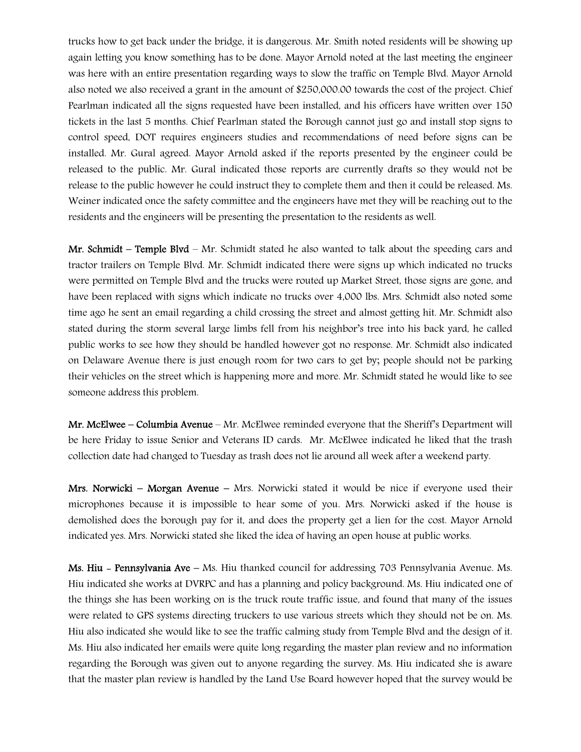trucks how to get back under the bridge, it is dangerous. Mr. Smith noted residents will be showing up again letting you know something has to be done. Mayor Arnold noted at the last meeting the engineer was here with an entire presentation regarding ways to slow the traffic on Temple Blvd. Mayor Arnold also noted we also received a grant in the amount of \$250,000.00 towards the cost of the project. Chief Pearlman indicated all the signs requested have been installed, and his officers have written over 150 tickets in the last 5 months. Chief Pearlman stated the Borough cannot just go and install stop signs to control speed, DOT requires engineers studies and recommendations of need before signs can be installed. Mr. Gural agreed. Mayor Arnold asked if the reports presented by the engineer could be released to the public. Mr. Gural indicated those reports are currently drafts so they would not be release to the public however he could instruct they to complete them and then it could be released. Ms. Weiner indicated once the safety committee and the engineers have met they will be reaching out to the residents and the engineers will be presenting the presentation to the residents as well.

Mr. Schmidt – Temple Blyd – Mr. Schmidt stated he also wanted to talk about the speeding cars and tractor trailers on Temple Blvd. Mr. Schmidt indicated there were signs up which indicated no trucks were permitted on Temple Blvd and the trucks were routed up Market Street, those signs are gone, and have been replaced with signs which indicate no trucks over 4,000 lbs. Mrs. Schmidt also noted some time ago he sent an email regarding a child crossing the street and almost getting hit. Mr. Schmidt also stated during the storm several large limbs fell from his neighbor's tree into his back yard, he called public works to see how they should be handled however got no response. Mr. Schmidt also indicated on Delaware Avenue there is just enough room for two cars to get by; people should not be parking their vehicles on the street which is happening more and more. Mr. Schmidt stated he would like to see someone address this problem.

Mr. McElwee – Columbia Avenue – Mr. McElwee reminded everyone that the Sheriff's Department will be here Friday to issue Senior and Veterans ID cards. Mr. McElwee indicated he liked that the trash collection date had changed to Tuesday as trash does not lie around all week after a weekend party.

Mrs. Norwicki – Morgan Avenue – Mrs. Norwicki stated it would be nice if everyone used their microphones because it is impossible to hear some of you. Mrs. Norwicki asked if the house is demolished does the borough pay for it, and does the property get a lien for the cost. Mayor Arnold indicated yes. Mrs. Norwicki stated she liked the idea of having an open house at public works.

Ms. Hiu - Pennsylvania Ave – Ms. Hiu thanked council for addressing 703 Pennsylvania Avenue. Ms. Hiu indicated she works at DVRPC and has a planning and policy background. Ms. Hiu indicated one of the things she has been working on is the truck route traffic issue, and found that many of the issues were related to GPS systems directing truckers to use various streets which they should not be on. Ms. Hiu also indicated she would like to see the traffic calming study from Temple Blvd and the design of it. Ms. Hiu also indicated her emails were quite long regarding the master plan review and no information regarding the Borough was given out to anyone regarding the survey. Ms. Hiu indicated she is aware that the master plan review is handled by the Land Use Board however hoped that the survey would be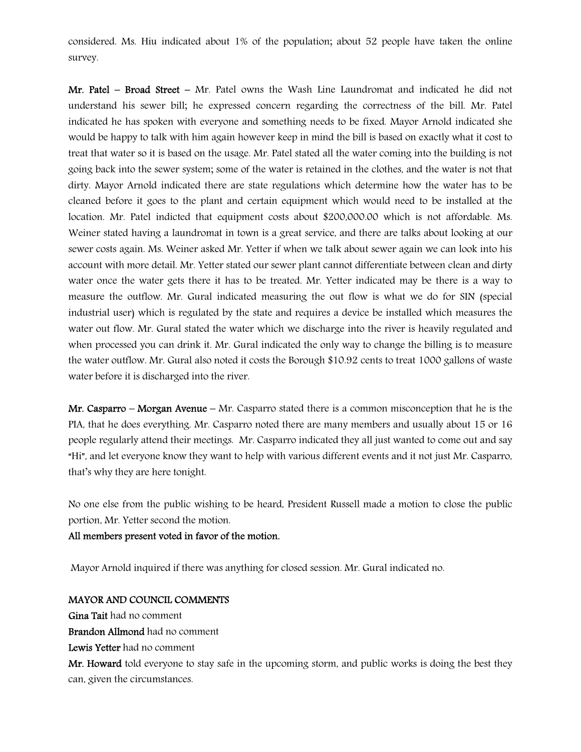considered. Ms. Hiu indicated about 1% of the population; about 52 people have taken the online survey.

Mr. Patel – Broad Street – Mr. Patel owns the Wash Line Laundromat and indicated he did not understand his sewer bill; he expressed concern regarding the correctness of the bill. Mr. Patel indicated he has spoken with everyone and something needs to be fixed. Mayor Arnold indicated she would be happy to talk with him again however keep in mind the bill is based on exactly what it cost to treat that water so it is based on the usage. Mr. Patel stated all the water coming into the building is not going back into the sewer system; some of the water is retained in the clothes, and the water is not that dirty. Mayor Arnold indicated there are state regulations which determine how the water has to be cleaned before it goes to the plant and certain equipment which would need to be installed at the location. Mr. Patel indicted that equipment costs about \$200,000.00 which is not affordable. Ms. Weiner stated having a laundromat in town is a great service, and there are talks about looking at our sewer costs again. Ms. Weiner asked Mr. Yetter if when we talk about sewer again we can look into his account with more detail. Mr. Yetter stated our sewer plant cannot differentiate between clean and dirty water once the water gets there it has to be treated. Mr. Yetter indicated may be there is a way to measure the outflow. Mr. Gural indicated measuring the out flow is what we do for SIN (special industrial user) which is regulated by the state and requires a device be installed which measures the water out flow. Mr. Gural stated the water which we discharge into the river is heavily regulated and when processed you can drink it. Mr. Gural indicated the only way to change the billing is to measure the water outflow. Mr. Gural also noted it costs the Borough \$10.92 cents to treat 1000 gallons of waste water before it is discharged into the river.

**Mr. Casparro – Morgan Avenue –** Mr. Casparro stated there is a common misconception that he is the PIA, that he does everything. Mr. Casparro noted there are many members and usually about 15 or 16 people regularly attend their meetings. Mr. Casparro indicated they all just wanted to come out and say "Hi", and let everyone know they want to help with various different events and it not just Mr. Casparro, that's why they are here tonight.

No one else from the public wishing to be heard, President Russell made a motion to close the public portion, Mr. Yetter second the motion.

All members present voted in favor of the motion.

Mayor Arnold inquired if there was anything for closed session. Mr. Gural indicated no.

#### MAYOR AND COUNCIL COMMENTS

Gina Tait had no comment

Brandon Allmond had no comment

Lewis Yetter had no comment

Mr. Howard told everyone to stay safe in the upcoming storm, and public works is doing the best they can, given the circumstances.